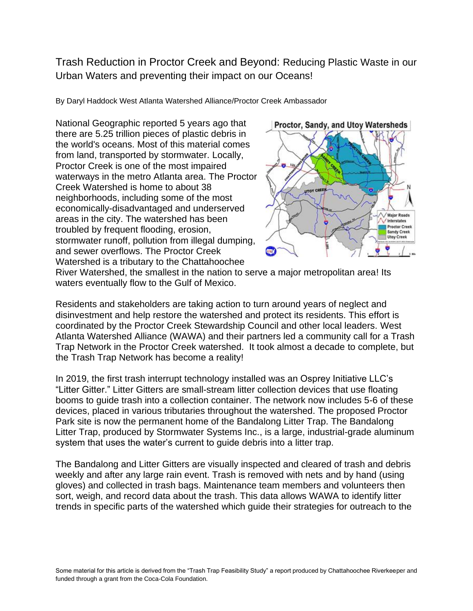Trash Reduction in Proctor Creek and Beyond: Reducing Plastic Waste in our Urban Waters and preventing their impact on our Oceans!

By Daryl Haddock West Atlanta Watershed Alliance/Proctor Creek Ambassador

National Geographic reported 5 years ago that there are 5.25 trillion pieces of plastic debris in the world's oceans. Most of this material comes from land, transported by stormwater. Locally, Proctor Creek is one of the most impaired waterways in the metro Atlanta area. The Proctor Creek Watershed is home to about 38 neighborhoods, including some of the most economically-disadvantaged and underserved areas in the city. The watershed has been troubled by frequent flooding, erosion, stormwater runoff, pollution from illegal dumping, and sewer overflows. The Proctor Creek Watershed is a tributary to the Chattahoochee



River Watershed, the smallest in the nation to serve a major metropolitan area! Its waters eventually flow to the Gulf of Mexico.

Residents and stakeholders are taking action to turn around years of neglect and disinvestment and help restore the watershed and protect its residents. This effort is coordinated by the Proctor Creek Stewardship Council and other local leaders. West Atlanta Watershed Alliance (WAWA) and their partners led a community call for a Trash Trap Network in the Proctor Creek watershed. It took almost a decade to complete, but the Trash Trap Network has become a reality!

In 2019, the first trash interrupt technology installed was an Osprey Initiative LLC's "Litter Gitter." Litter Gitters are small-stream litter collection devices that use floating booms to guide trash into a collection container. The network now includes 5-6 of these devices, placed in various tributaries throughout the watershed. The proposed Proctor Park site is now the permanent home of the Bandalong Litter Trap. The Bandalong Litter Trap, produced by Stormwater Systems Inc., is a large, industrial-grade aluminum system that uses the water's current to guide debris into a litter trap.

The Bandalong and Litter Gitters are visually inspected and cleared of trash and debris weekly and after any large rain event. Trash is removed with nets and by hand (using gloves) and collected in trash bags. Maintenance team members and volunteers then sort, weigh, and record data about the trash. This data allows WAWA to identify litter trends in specific parts of the watershed which guide their strategies for outreach to the